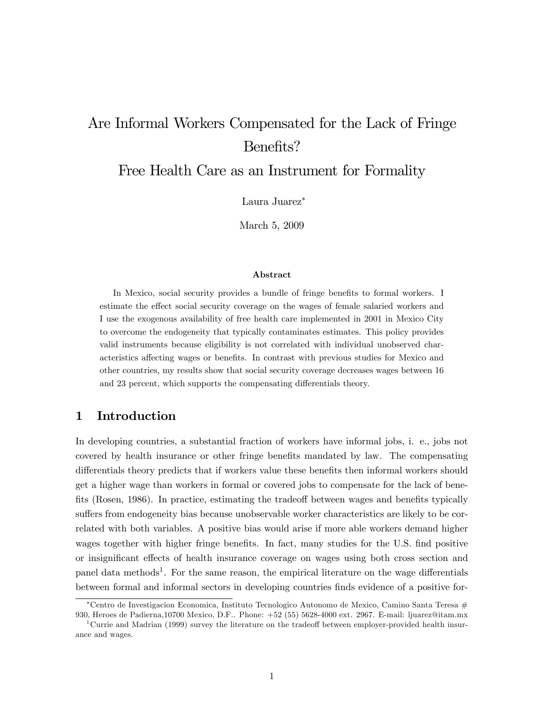# Are Informal Workers Compensated for the Lack of Fringe Benefits?

Free Health Care as an Instrument for Formality

Laura Juarez

March 5, 2009

#### Abstract

In Mexico, social security provides a bundle of fringe benefits to formal workers. I estimate the effect social security coverage on the wages of female salaried workers and I use the exogenous availability of free health care implemented in 2001 in Mexico City to overcome the endogeneity that typically contaminates estimates. This policy provides valid instruments because eligibility is not correlated with individual unobserved characteristics affecting wages or benefits. In contrast with previous studies for Mexico and other countries, my results show that social security coverage decreases wages between 16 and 23 percent, which supports the compensating differentials theory.

## 1 Introduction

In developing countries, a substantial fraction of workers have informal jobs, i. e., jobs not covered by health insurance or other fringe benefits mandated by law. The compensating differentials theory predicts that if workers value these benefits then informal workers should get a higher wage than workers in formal or covered jobs to compensate for the lack of benefits (Rosen, 1986). In practice, estimating the tradeoff between wages and benefits typically suffers from endogeneity bias because unobservable worker characteristics are likely to be correlated with both variables. A positive bias would arise if more able workers demand higher wages together with higher fringe benefits. In fact, many studies for the U.S. find positive or insignificant effects of health insurance coverage on wages using both cross section and panel data methods<sup>1</sup>. For the same reason, the empirical literature on the wage differentials between formal and informal sectors in developing countries finds evidence of a positive for-

Centro de Investigacion Economica, Instituto Tecnologico Autonomo de Mexico, Camino Santa Teresa # 930, Heroes de Padierna,10700 Mexico, D.F.. Phone: +52 (55) 5628-4000 ext. 2967. E-mail: ljuarez@itam.mx

 $1$ Currie and Madrian (1999) survey the literature on the tradeoff between employer-provided health insurance and wages.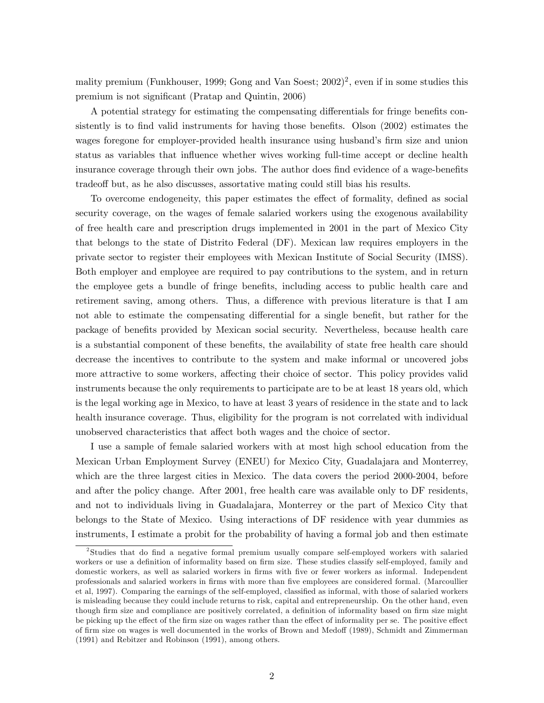mality premium (Funkhouser, 1999; Gong and Van Soest; 2002)<sup>2</sup>, even if in some studies this premium is not significant (Pratap and Quintin, 2006)

A potential strategy for estimating the compensating differentials for fringe benefits consistently is to find valid instruments for having those benefits. Olson (2002) estimates the wages foregone for employer-provided health insurance using husband's firm size and union status as variables that influence whether wives working full-time accept or decline health insurance coverage through their own jobs. The author does find evidence of a wage-benefits tradeoff but, as he also discusses, assortative mating could still bias his results.

To overcome endogeneity, this paper estimates the effect of formality, defined as social security coverage, on the wages of female salaried workers using the exogenous availability of free health care and prescription drugs implemented in 2001 in the part of Mexico City that belongs to the state of Distrito Federal (DF). Mexican law requires employers in the private sector to register their employees with Mexican Institute of Social Security (IMSS). Both employer and employee are required to pay contributions to the system, and in return the employee gets a bundle of fringe benefits, including access to public health care and retirement saving, among others. Thus, a difference with previous literature is that I am not able to estimate the compensating differential for a single benefit, but rather for the package of benefits provided by Mexican social security. Nevertheless, because health care is a substantial component of these benefits, the availability of state free health care should decrease the incentives to contribute to the system and make informal or uncovered jobs more attractive to some workers, affecting their choice of sector. This policy provides valid instruments because the only requirements to participate are to be at least 18 years old, which is the legal working age in Mexico, to have at least 3 years of residence in the state and to lack health insurance coverage. Thus, eligibility for the program is not correlated with individual unobserved characteristics that affect both wages and the choice of sector.

I use a sample of female salaried workers with at most high school education from the Mexican Urban Employment Survey (ENEU) for Mexico City, Guadalajara and Monterrey, which are the three largest cities in Mexico. The data covers the period 2000-2004, before and after the policy change. After 2001, free health care was available only to DF residents, and not to individuals living in Guadalajara, Monterrey or the part of Mexico City that belongs to the State of Mexico. Using interactions of DF residence with year dummies as instruments, I estimate a probit for the probability of having a formal job and then estimate

<sup>&</sup>lt;sup>2</sup>Studies that do find a negative formal premium usually compare self-employed workers with salaried workers or use a definition of informality based on firm size. These studies classify self-employed, family and domestic workers, as well as salaried workers in firms with five or fewer workers as informal. Independent professionals and salaried workers in firms with more than five employees are considered formal. (Marcoullier et al, 1997). Comparing the earnings of the self-employed, classified as informal, with those of salaried workers is misleading because they could include returns to risk, capital and entrepreneurship. On the other hand, even though firm size and compliance are positively correlated, a definition of informality based on firm size might be picking up the effect of the firm size on wages rather than the effect of informality per se. The positive effect of firm size on wages is well documented in the works of Brown and Medoff (1989), Schmidt and Zimmerman (1991) and Rebitzer and Robinson (1991), among others.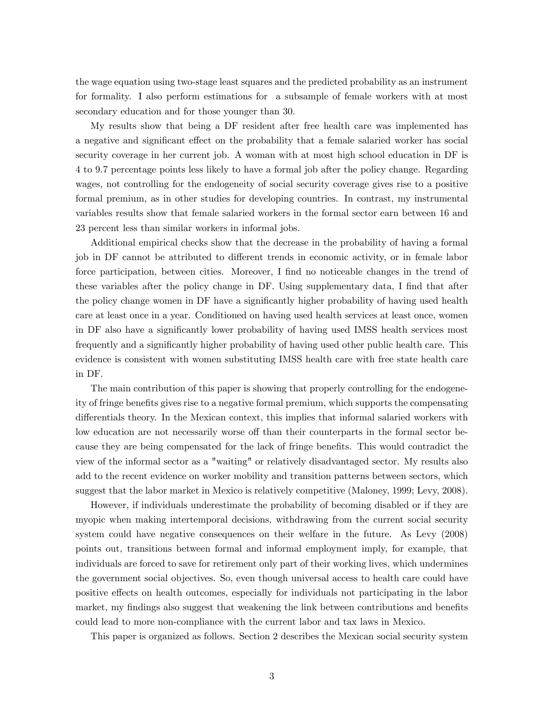the wage equation using two-stage least squares and the predicted probability as an instrument for formality. I also perform estimations for a subsample of female workers with at most secondary education and for those younger than 30.

My results show that being a DF resident after free health care was implemented has a negative and significant effect on the probability that a female salaried worker has social security coverage in her current job. A woman with at most high school education in DF is 4 to 9.7 percentage points less likely to have a formal job after the policy change. Regarding wages, not controlling for the endogeneity of social security coverage gives rise to a positive formal premium, as in other studies for developing countries. In contrast, my instrumental variables results show that female salaried workers in the formal sector earn between 16 and 23 percent less than similar workers in informal jobs.

Additional empirical checks show that the decrease in the probability of having a formal job in DF cannot be attributed to different trends in economic activity, or in female labor force participation, between cities. Moreover, I find no noticeable changes in the trend of these variables after the policy change in DF. Using supplementary data, I find that after the policy change women in DF have a significantly higher probability of having used health care at least once in a year. Conditioned on having used health services at least once, women in DF also have a significantly lower probability of having used IMSS health services most frequently and a significantly higher probability of having used other public health care. This evidence is consistent with women substituting IMSS health care with free state health care in DF.

The main contribution of this paper is showing that properly controlling for the endogeneity of fringe benefits gives rise to a negative formal premium, which supports the compensating differentials theory. In the Mexican context, this implies that informal salaried workers with low education are not necessarily worse off than their counterparts in the formal sector because they are being compensated for the lack of fringe benefits. This would contradict the view of the informal sector as a "waiting" or relatively disadvantaged sector. My results also add to the recent evidence on worker mobility and transition patterns between sectors, which suggest that the labor market in Mexico is relatively competitive (Maloney, 1999; Levy, 2008).

However, if individuals underestimate the probability of becoming disabled or if they are myopic when making intertemporal decisions, withdrawing from the current social security system could have negative consequences on their welfare in the future. As Levy (2008) points out, transitions between formal and informal employment imply, for example, that individuals are forced to save for retirement only part of their working lives, which undermines the government social objectives. So, even though universal access to health care could have positive effects on health outcomes, especially for individuals not participating in the labor market, my findings also suggest that weakening the link between contributions and benefits could lead to more non-compliance with the current labor and tax laws in Mexico.

This paper is organized as follows. Section 2 describes the Mexican social security system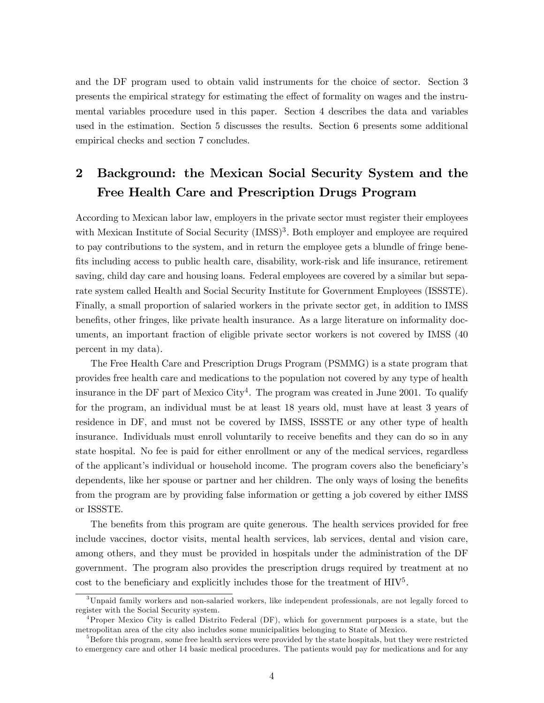and the DF program used to obtain valid instruments for the choice of sector. Section 3 presents the empirical strategy for estimating the e§ect of formality on wages and the instrumental variables procedure used in this paper. Section 4 describes the data and variables used in the estimation. Section 5 discusses the results. Section 6 presents some additional empirical checks and section 7 concludes.

# 2 Background: the Mexican Social Security System and the Free Health Care and Prescription Drugs Program

According to Mexican labor law, employers in the private sector must register their employees with Mexican Institute of Social Security (IMSS)<sup>3</sup>. Both employer and employee are required to pay contributions to the system, and in return the employee gets a blundle of fringe benefits including access to public health care, disability, work-risk and life insurance, retirement saving, child day care and housing loans. Federal employees are covered by a similar but separate system called Health and Social Security Institute for Government Employees (ISSSTE). Finally, a small proportion of salaried workers in the private sector get, in addition to IMSS benefits, other fringes, like private health insurance. As a large literature on informality documents, an important fraction of eligible private sector workers is not covered by IMSS (40 percent in my data).

The Free Health Care and Prescription Drugs Program (PSMMG) is a state program that provides free health care and medications to the population not covered by any type of health insurance in the DF part of Mexico City<sup>4</sup>. The program was created in June 2001. To qualify for the program, an individual must be at least 18 years old, must have at least 3 years of residence in DF, and must not be covered by IMSS, ISSSTE or any other type of health insurance. Individuals must enroll voluntarily to receive benefits and they can do so in any state hospital. No fee is paid for either enrollment or any of the medical services, regardless of the applicant's individual or household income. The program covers also the beneficiary's dependents, like her spouse or partner and her children. The only ways of losing the benefits from the program are by providing false information or getting a job covered by either IMSS or ISSSTE.

The benefits from this program are quite generous. The health services provided for free include vaccines, doctor visits, mental health services, lab services, dental and vision care, among others, and they must be provided in hospitals under the administration of the DF government. The program also provides the prescription drugs required by treatment at no cost to the beneficiary and explicitly includes those for the treatment of  $\text{HIV}^5$ .

<sup>3</sup>Unpaid family workers and non-salaried workers, like independent professionals, are not legally forced to register with the Social Security system.

<sup>4</sup>Proper Mexico City is called Distrito Federal (DF), which for government purposes is a state, but the metropolitan area of the city also includes some municipalities belonging to State of Mexico.

<sup>&</sup>lt;sup>5</sup>Before this program, some free health services were provided by the state hospitals, but they were restricted to emergency care and other 14 basic medical procedures. The patients would pay for medications and for any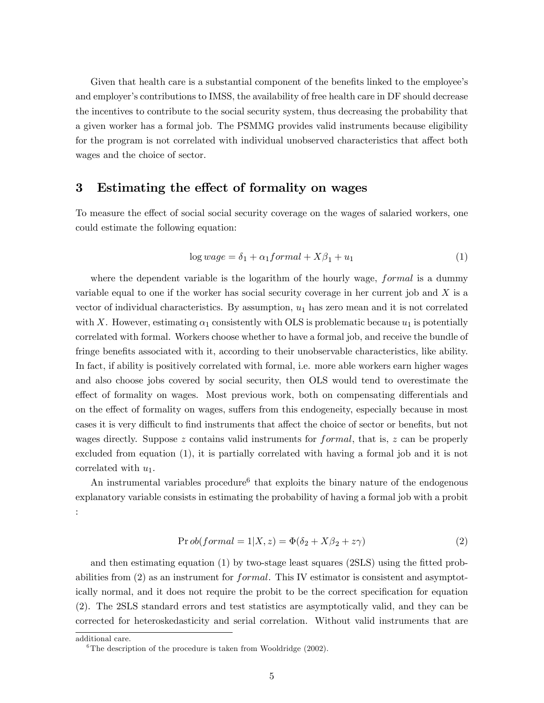Given that health care is a substantial component of the benefits linked to the employee's and employer's contributions to IMSS, the availability of free health care in DF should decrease the incentives to contribute to the social security system, thus decreasing the probability that a given worker has a formal job. The PSMMG provides valid instruments because eligibility for the program is not correlated with individual unobserved characteristics that affect both wages and the choice of sector.

## 3 Estimating the effect of formality on wages

To measure the effect of social social security coverage on the wages of salaried workers, one could estimate the following equation:

$$
\log wage = \delta_1 + \alpha_1 formal + X\beta_1 + u_1 \tag{1}
$$

where the dependent variable is the logarithm of the hourly wage, *formal* is a dummy variable equal to one if the worker has social security coverage in her current job and  $X$  is a vector of individual characteristics. By assumption,  $u_1$  has zero mean and it is not correlated with X. However, estimating  $\alpha_1$  consistently with OLS is problematic because  $u_1$  is potentially correlated with formal. Workers choose whether to have a formal job, and receive the bundle of fringe benefits associated with it, according to their unobservable characteristics, like ability. In fact, if ability is positively correlated with formal, i.e. more able workers earn higher wages and also choose jobs covered by social security, then OLS would tend to overestimate the effect of formality on wages. Most previous work, both on compensating differentials and on the effect of formality on wages, suffers from this endogeneity, especially because in most cases it is very difficult to find instruments that affect the choice of sector or benefits, but not wages directly. Suppose z contains valid instruments for  $formal$ , that is, z can be properly excluded from equation (1), it is partially correlated with having a formal job and it is not correlated with  $u_1$ .

An instrumental variables procedure<sup>6</sup> that exploits the binary nature of the endogenous explanatory variable consists in estimating the probability of having a formal job with a probit :

$$
Prob(formal = 1|X, z) = \Phi(\delta_2 + X\beta_2 + z\gamma)
$$
\n(2)

and then estimating equation  $(1)$  by two-stage least squares  $(2SLS)$  using the fitted probabilities from  $(2)$  as an instrument for *formal*. This IV estimator is consistent and asymptotically normal, and it does not require the probit to be the correct specification for equation (2). The 2SLS standard errors and test statistics are asymptotically valid, and they can be corrected for heteroskedasticity and serial correlation. Without valid instruments that are

additional care.

<sup>&</sup>lt;sup>6</sup>The description of the procedure is taken from Wooldridge  $(2002)$ .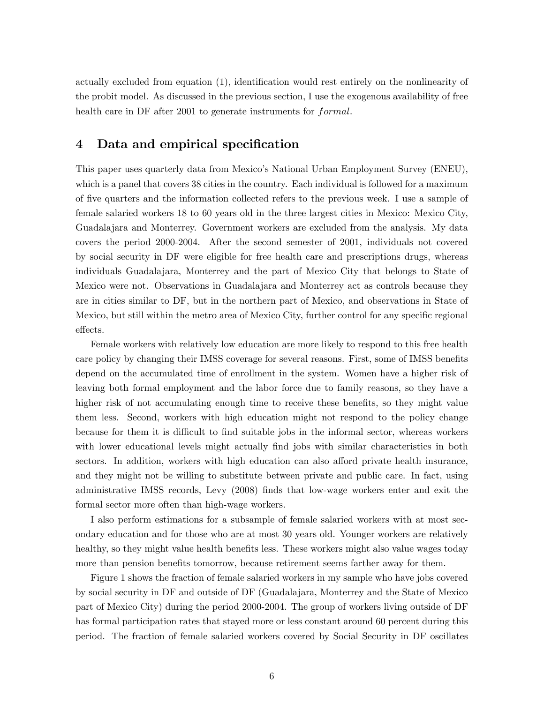actually excluded from equation (1), identification would rest entirely on the nonlinearity of the probit model. As discussed in the previous section, I use the exogenous availability of free health care in DF after 2001 to generate instruments for formal.

#### 4 Data and empirical specification

This paper uses quarterly data from Mexicoís National Urban Employment Survey (ENEU), which is a panel that covers 38 cities in the country. Each individual is followed for a maximum of Öve quarters and the information collected refers to the previous week. I use a sample of female salaried workers 18 to 60 years old in the three largest cities in Mexico: Mexico City, Guadalajara and Monterrey. Government workers are excluded from the analysis. My data covers the period 2000-2004. After the second semester of 2001, individuals not covered by social security in DF were eligible for free health care and prescriptions drugs, whereas individuals Guadalajara, Monterrey and the part of Mexico City that belongs to State of Mexico were not. Observations in Guadalajara and Monterrey act as controls because they are in cities similar to DF, but in the northern part of Mexico, and observations in State of Mexico, but still within the metro area of Mexico City, further control for any specific regional effects.

Female workers with relatively low education are more likely to respond to this free health care policy by changing their IMSS coverage for several reasons. First, some of IMSS benefits depend on the accumulated time of enrollment in the system. Women have a higher risk of leaving both formal employment and the labor force due to family reasons, so they have a higher risk of not accumulating enough time to receive these benefits, so they might value them less. Second, workers with high education might not respond to the policy change because for them it is difficult to find suitable jobs in the informal sector, whereas workers with lower educational levels might actually find jobs with similar characteristics in both sectors. In addition, workers with high education can also afford private health insurance, and they might not be willing to substitute between private and public care. In fact, using administrative IMSS records, Levy (2008) Önds that low-wage workers enter and exit the formal sector more often than high-wage workers.

I also perform estimations for a subsample of female salaried workers with at most secondary education and for those who are at most 30 years old. Younger workers are relatively healthy, so they might value health benefits less. These workers might also value wages today more than pension benefits tomorrow, because retirement seems farther away for them.

Figure 1 shows the fraction of female salaried workers in my sample who have jobs covered by social security in DF and outside of DF (Guadalajara, Monterrey and the State of Mexico part of Mexico City) during the period 2000-2004. The group of workers living outside of DF has formal participation rates that stayed more or less constant around 60 percent during this period. The fraction of female salaried workers covered by Social Security in DF oscillates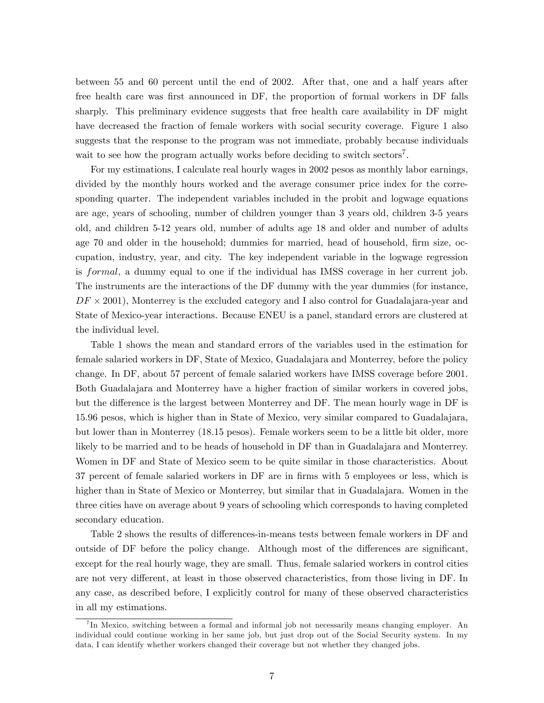between 55 and 60 percent until the end of 2002. After that, one and a half years after free health care was first announced in DF, the proportion of formal workers in DF falls sharply. This preliminary evidence suggests that free health care availability in DF might have decreased the fraction of female workers with social security coverage. Figure 1 also suggests that the response to the program was not immediate, probably because individuals wait to see how the program actually works before deciding to switch sectors<sup>7</sup>.

For my estimations, I calculate real hourly wages in 2002 pesos as monthly labor earnings, divided by the monthly hours worked and the average consumer price index for the corresponding quarter. The independent variables included in the probit and logwage equations are age, years of schooling, number of children younger than 3 years old, children 3-5 years old, and children 5-12 years old, number of adults age 18 and older and number of adults age 70 and older in the household; dummies for married, head of household, firm size, occupation, industry, year, and city. The key independent variable in the logwage regression is formal, a dummy equal to one if the individual has IMSS coverage in her current job. The instruments are the interactions of the DF dummy with the year dummies (for instance,  $DF \times 2001$ ), Monterrey is the excluded category and I also control for Guadalajara-year and State of Mexico-year interactions. Because ENEU is a panel, standard errors are clustered at the individual level.

Table 1 shows the mean and standard errors of the variables used in the estimation for female salaried workers in DF, State of Mexico, Guadalajara and Monterrey, before the policy change. In DF, about 57 percent of female salaried workers have IMSS coverage before 2001. Both Guadalajara and Monterrey have a higher fraction of similar workers in covered jobs, but the difference is the largest between Monterrey and DF. The mean hourly wage in DF is 15.96 pesos, which is higher than in State of Mexico, very similar compared to Guadalajara, but lower than in Monterrey (18.15 pesos). Female workers seem to be a little bit older, more likely to be married and to be heads of household in DF than in Guadalajara and Monterrey. Women in DF and State of Mexico seem to be quite similar in those characteristics. About 37 percent of female salaried workers in DF are in Örms with 5 employees or less, which is higher than in State of Mexico or Monterrey, but similar that in Guadalajara. Women in the three cities have on average about 9 years of schooling which corresponds to having completed secondary education.

Table 2 shows the results of differences-in-means tests between female workers in DF and outside of DF before the policy change. Although most of the differences are significant, except for the real hourly wage, they are small. Thus, female salaried workers in control cities are not very different, at least in those observed characteristics, from those living in DF. In any case, as described before, I explicitly control for many of these observed characteristics in all my estimations.

<sup>7</sup> In Mexico, switching between a formal and informal job not necessarily means changing employer. An individual could continue working in her same job, but just drop out of the Social Security system. In my data, I can identify whether workers changed their coverage but not whether they changed jobs.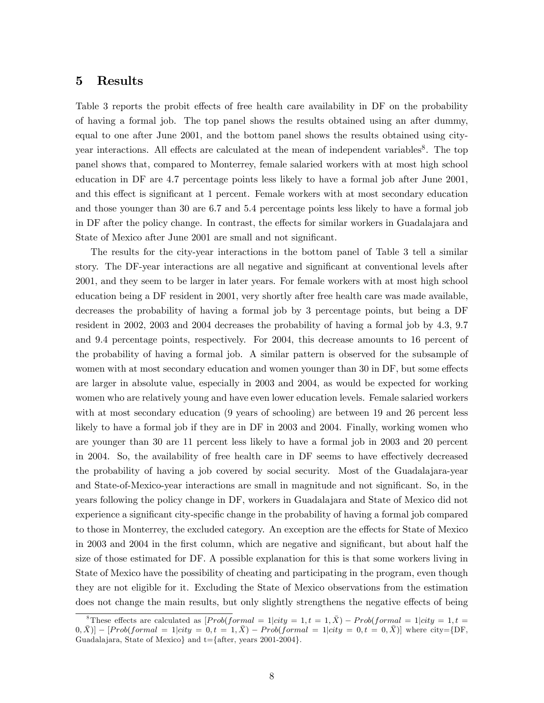#### 5 Results

Table 3 reports the probit effects of free health care availability in DF on the probability of having a formal job. The top panel shows the results obtained using an after dummy, equal to one after June 2001, and the bottom panel shows the results obtained using cityyear interactions. All effects are calculated at the mean of independent variables<sup>8</sup>. The top panel shows that, compared to Monterrey, female salaried workers with at most high school education in DF are 4.7 percentage points less likely to have a formal job after June 2001, and this effect is significant at 1 percent. Female workers with at most secondary education and those younger than 30 are 6.7 and 5.4 percentage points less likely to have a formal job in DF after the policy change. In contrast, the effects for similar workers in Guadalajara and State of Mexico after June 2001 are small and not significant.

The results for the city-year interactions in the bottom panel of Table 3 tell a similar story. The DF-year interactions are all negative and significant at conventional levels after 2001, and they seem to be larger in later years. For female workers with at most high school education being a DF resident in 2001, very shortly after free health care was made available, decreases the probability of having a formal job by 3 percentage points, but being a DF resident in 2002, 2003 and 2004 decreases the probability of having a formal job by 4.3, 9.7 and 9.4 percentage points, respectively. For 2004, this decrease amounts to 16 percent of the probability of having a formal job. A similar pattern is observed for the subsample of women with at most secondary education and women younger than 30 in DF, but some effects are larger in absolute value, especially in 2003 and 2004, as would be expected for working women who are relatively young and have even lower education levels. Female salaried workers with at most secondary education (9 years of schooling) are between 19 and 26 percent less likely to have a formal job if they are in DF in 2003 and 2004. Finally, working women who are younger than 30 are 11 percent less likely to have a formal job in 2003 and 20 percent in 2004. So, the availability of free health care in DF seems to have effectively decreased the probability of having a job covered by social security. Most of the Guadalajara-year and State-of-Mexico-year interactions are small in magnitude and not significant. So, in the years following the policy change in DF, workers in Guadalajara and State of Mexico did not experience a significant city-specific change in the probability of having a formal job compared to those in Monterrey, the excluded category. An exception are the effects for State of Mexico in 2003 and 2004 in the first column, which are negative and significant, but about half the size of those estimated for DF. A possible explanation for this is that some workers living in State of Mexico have the possibility of cheating and participating in the program, even though they are not eligible for it. Excluding the State of Mexico observations from the estimation does not change the main results, but only slightly strengthens the negative effects of being

<sup>&</sup>lt;sup>8</sup>These effects are calculated as  $[Prob(formal = 1]city = 1, t = 1, \overline{X})$  –  $Prob(formal = 1]city = 1, t = 1, \overline{X})$  $[0,\bar{X}] - [Prob(formal = 1]city = 0, t = 1, \bar{X}) - Prob(formal = 1]city = 0, t = 0, \bar{X}]$  where city={DF, Guadalajara, State of Mexico} and t={after, years 2001-2004}.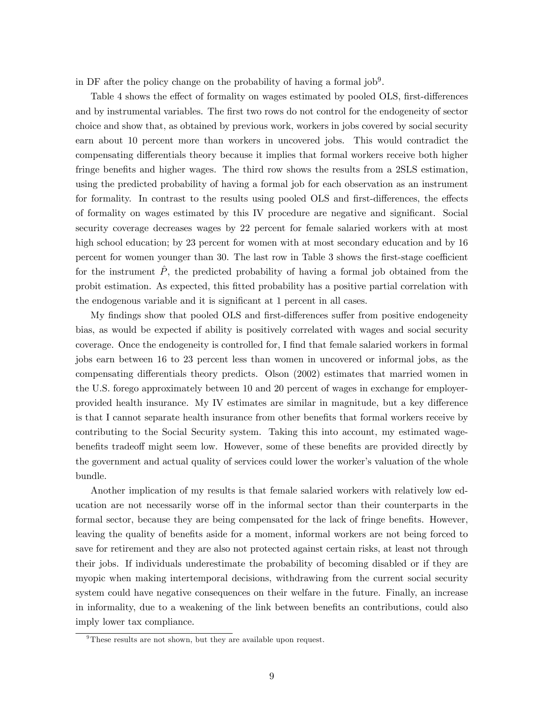in DF after the policy change on the probability of having a formal  $job^9$ .

Table 4 shows the effect of formality on wages estimated by pooled OLS, first-differences and by instrumental variables. The first two rows do not control for the endogeneity of sector choice and show that, as obtained by previous work, workers in jobs covered by social security earn about 10 percent more than workers in uncovered jobs. This would contradict the compensating differentials theory because it implies that formal workers receive both higher fringe benefits and higher wages. The third row shows the results from a 2SLS estimation, using the predicted probability of having a formal job for each observation as an instrument for formality. In contrast to the results using pooled OLS and first-differences, the effects of formality on wages estimated by this IV procedure are negative and significant. Social security coverage decreases wages by 22 percent for female salaried workers with at most high school education; by 23 percent for women with at most secondary education and by 16 percent for women younger than 30. The last row in Table 3 shows the first-stage coefficient for the instrument  $\hat{P}$ , the predicted probability of having a formal job obtained from the probit estimation. As expected, this Ötted probability has a positive partial correlation with the endogenous variable and it is significant at 1 percent in all cases.

My findings show that pooled OLS and first-differences suffer from positive endogeneity bias, as would be expected if ability is positively correlated with wages and social security coverage. Once the endogeneity is controlled for, I find that female salaried workers in formal jobs earn between 16 to 23 percent less than women in uncovered or informal jobs, as the compensating differentials theory predicts. Olson (2002) estimates that married women in the U.S. forego approximately between 10 and 20 percent of wages in exchange for employerprovided health insurance. My IV estimates are similar in magnitude, but a key difference is that I cannot separate health insurance from other benefits that formal workers receive by contributing to the Social Security system. Taking this into account, my estimated wagebenefits tradeoff might seem low. However, some of these benefits are provided directly by the government and actual quality of services could lower the worker's valuation of the whole bundle.

Another implication of my results is that female salaried workers with relatively low education are not necessarily worse off in the informal sector than their counterparts in the formal sector, because they are being compensated for the lack of fringe benefits. However, leaving the quality of benefits aside for a moment, informal workers are not being forced to save for retirement and they are also not protected against certain risks, at least not through their jobs. If individuals underestimate the probability of becoming disabled or if they are myopic when making intertemporal decisions, withdrawing from the current social security system could have negative consequences on their welfare in the future. Finally, an increase in informality, due to a weakening of the link between benefits an contributions, could also imply lower tax compliance.

<sup>&</sup>lt;sup>9</sup>These results are not shown, but they are available upon request.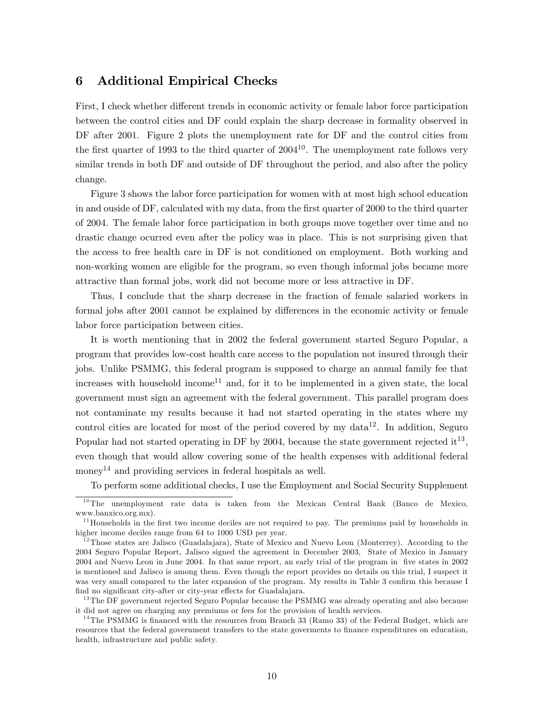#### 6 Additional Empirical Checks

First, I check whether different trends in economic activity or female labor force participation between the control cities and DF could explain the sharp decrease in formality observed in DF after 2001. Figure 2 plots the unemployment rate for DF and the control cities from the first quarter of 1993 to the third quarter of  $2004^{10}$ . The unemployment rate follows very similar trends in both DF and outside of DF throughout the period, and also after the policy change.

Figure 3 shows the labor force participation for women with at most high school education in and ouside of DF, calculated with my data, from the first quarter of 2000 to the third quarter of 2004. The female labor force participation in both groups move together over time and no drastic change ocurred even after the policy was in place. This is not surprising given that the access to free health care in DF is not conditioned on employment. Both working and non-working women are eligible for the program, so even though informal jobs became more attractive than formal jobs, work did not become more or less attractive in DF.

Thus, I conclude that the sharp decrease in the fraction of female salaried workers in formal jobs after 2001 cannot be explained by differences in the economic activity or female labor force participation between cities.

It is worth mentioning that in 2002 the federal government started Seguro Popular, a program that provides low-cost health care access to the population not insured through their jobs. Unlike PSMMG, this federal program is supposed to charge an annual family fee that increases with household income<sup>11</sup> and, for it to be implemented in a given state, the local government must sign an agreement with the federal government. This parallel program does not contaminate my results because it had not started operating in the states where my control cities are located for most of the period covered by my data<sup>12</sup>. In addition, Seguro Popular had not started operating in DF by 2004, because the state government rejected it<sup>13</sup>, even though that would allow covering some of the health expenses with additional federal money<sup>14</sup> and providing services in federal hospitals as well.

To perform some additional checks, I use the Employment and Social Security Supplement

 $10$ The unemployment rate data is taken from the Mexican Central Bank (Banco de Mexico, www.banxico.org.mx).

 $11$  Households in the first two income deciles are not required to pay. The premiums paid by households in higher income deciles range from 64 to 1000 USD per year.

<sup>&</sup>lt;sup>12</sup>Those states are Jalisco (Guadalajara), State of Mexico and Nuevo Leon (Monterrey). According to the 2004 Seguro Popular Report, Jalisco signed the agreement in December 2003, State of Mexico in January 2004 and Nuevo Leon in June 2004. In that same report, an early trial of the program in Öve states in 2002 is mentioned and Jalisco is among them. Even though the report provides no details on this trial, I suspect it was very small compared to the later expansion of the program. My results in Table 3 confirm this because I find no significant city-after or city-year effects for Guadalajara.

<sup>&</sup>lt;sup>13</sup>The DF government rejected Seguro Popular because the PSMMG was already operating and also because it did not agree on charging any premiums or fees for the provision of health services.

<sup>&</sup>lt;sup>14</sup>The PSMMG is financed with the resources from Branch 33 (Ramo 33) of the Federal Budget, which are resources that the federal government transfers to the state governments to finance expenditures on education, health, infrastructure and public safety.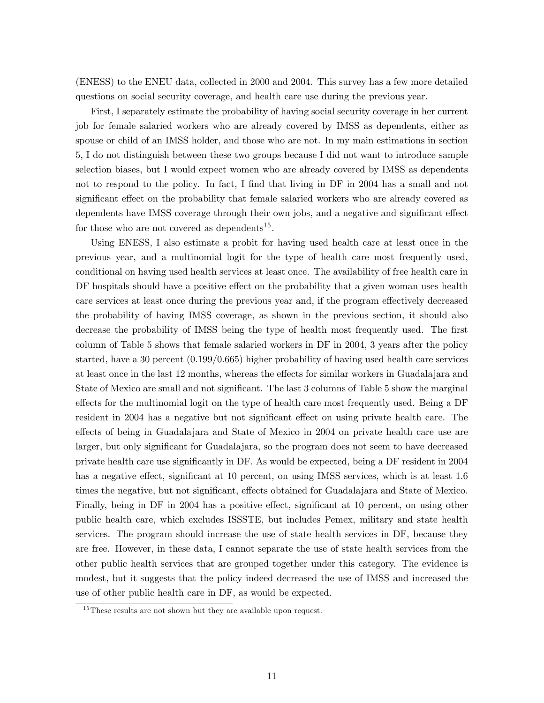(ENESS) to the ENEU data, collected in 2000 and 2004. This survey has a few more detailed questions on social security coverage, and health care use during the previous year.

First, I separately estimate the probability of having social security coverage in her current job for female salaried workers who are already covered by IMSS as dependents, either as spouse or child of an IMSS holder, and those who are not. In my main estimations in section 5, I do not distinguish between these two groups because I did not want to introduce sample selection biases, but I would expect women who are already covered by IMSS as dependents not to respond to the policy. In fact, I find that living in DF in 2004 has a small and not significant effect on the probability that female salaried workers who are already covered as dependents have IMSS coverage through their own jobs, and a negative and significant effect for those who are not covered as dependents<sup>15</sup>.

Using ENESS, I also estimate a probit for having used health care at least once in the previous year, and a multinomial logit for the type of health care most frequently used, conditional on having used health services at least once. The availability of free health care in DF hospitals should have a positive effect on the probability that a given woman uses health care services at least once during the previous year and, if the program effectively decreased the probability of having IMSS coverage, as shown in the previous section, it should also decrease the probability of IMSS being the type of health most frequently used. The first column of Table 5 shows that female salaried workers in DF in 2004, 3 years after the policy started, have a 30 percent (0.199/0.665) higher probability of having used health care services at least once in the last 12 months, whereas the effects for similar workers in Guadalajara and State of Mexico are small and not significant. The last 3 columns of Table 5 show the marginal effects for the multinomial logit on the type of health care most frequently used. Being a DF resident in 2004 has a negative but not significant effect on using private health care. The effects of being in Guadalajara and State of Mexico in 2004 on private health care use are larger, but only significant for Guadalajara, so the program does not seem to have decreased private health care use signiÖcantly in DF. As would be expected, being a DF resident in 2004 has a negative effect, significant at 10 percent, on using IMSS services, which is at least 1.6 times the negative, but not significant, effects obtained for Guadalajara and State of Mexico. Finally, being in DF in 2004 has a positive effect, significant at 10 percent, on using other public health care, which excludes ISSSTE, but includes Pemex, military and state health services. The program should increase the use of state health services in DF, because they are free. However, in these data, I cannot separate the use of state health services from the other public health services that are grouped together under this category. The evidence is modest, but it suggests that the policy indeed decreased the use of IMSS and increased the use of other public health care in DF, as would be expected.

 $15$ These results are not shown but they are available upon request.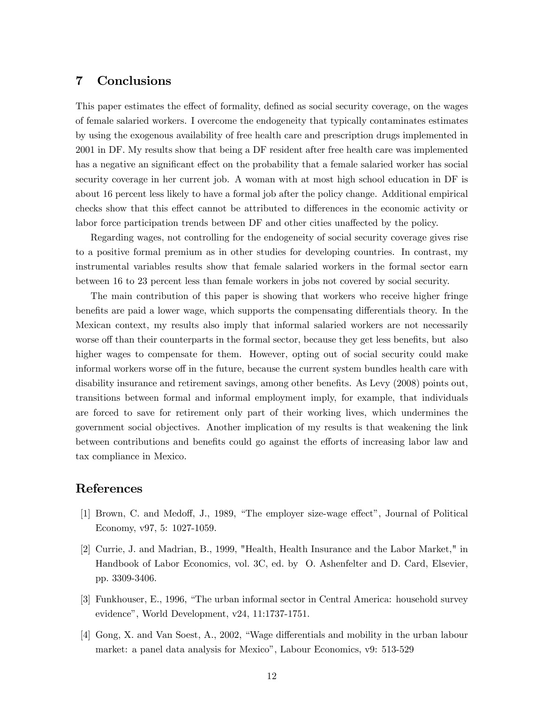#### 7 Conclusions

This paper estimates the effect of formality, defined as social security coverage, on the wages of female salaried workers. I overcome the endogeneity that typically contaminates estimates by using the exogenous availability of free health care and prescription drugs implemented in 2001 in DF. My results show that being a DF resident after free health care was implemented has a negative an significant effect on the probability that a female salaried worker has social security coverage in her current job. A woman with at most high school education in DF is about 16 percent less likely to have a formal job after the policy change. Additional empirical checks show that this effect cannot be attributed to differences in the economic activity or labor force participation trends between DF and other cities unaffected by the policy.

Regarding wages, not controlling for the endogeneity of social security coverage gives rise to a positive formal premium as in other studies for developing countries. In contrast, my instrumental variables results show that female salaried workers in the formal sector earn between 16 to 23 percent less than female workers in jobs not covered by social security.

The main contribution of this paper is showing that workers who receive higher fringe benefits are paid a lower wage, which supports the compensating differentials theory. In the Mexican context, my results also imply that informal salaried workers are not necessarily worse off than their counterparts in the formal sector, because they get less benefits, but also higher wages to compensate for them. However, opting out of social security could make informal workers worse off in the future, because the current system bundles health care with disability insurance and retirement savings, among other benefits. As Levy (2008) points out, transitions between formal and informal employment imply, for example, that individuals are forced to save for retirement only part of their working lives, which undermines the government social objectives. Another implication of my results is that weakening the link between contributions and benefits could go against the efforts of increasing labor law and tax compliance in Mexico.

### References

- [1] Brown, C. and Medoff, J., 1989, "The employer size-wage effect", Journal of Political Economy, v97, 5: 1027-1059.
- [2] Currie, J. and Madrian, B., 1999, "Health, Health Insurance and the Labor Market," in Handbook of Labor Economics, vol. 3C, ed. by O. Ashenfelter and D. Card, Elsevier, pp. 3309-3406.
- [3] Funkhouser, E., 1996, "The urban informal sector in Central America: household survey evidence", World Development, v24, 11:1737-1751.
- [4] Gong, X. and Van Soest, A., 2002, "Wage differentials and mobility in the urban labour market: a panel data analysis for Mexico", Labour Economics, v9: 513-529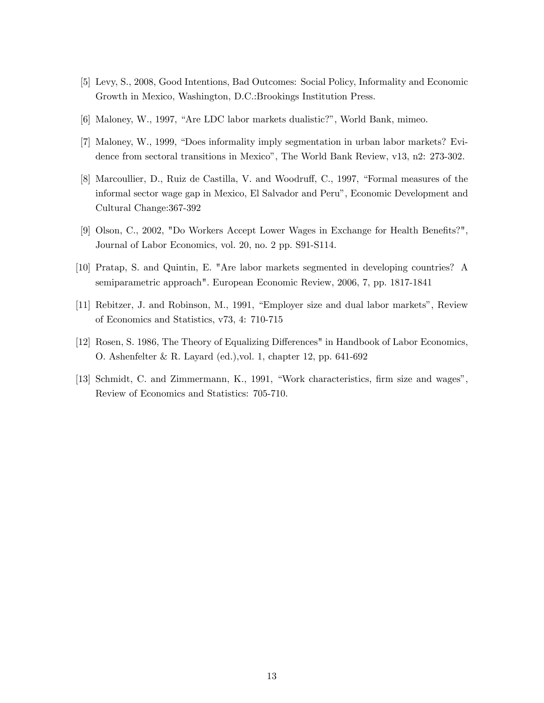- [5] Levy, S., 2008, Good Intentions, Bad Outcomes: Social Policy, Informality and Economic Growth in Mexico, Washington, D.C.:Brookings Institution Press.
- [6] Maloney, W., 1997, "Are LDC labor markets dualistic?", World Bank, mimeo.
- [7] Maloney, W., 1999, "Does informality imply segmentation in urban labor markets? Evidence from sectoral transitions in Mexicoî, The World Bank Review, v13, n2: 273-302.
- [8] Marcoullier, D., Ruiz de Castilla, V. and Woodruff, C., 1997, "Formal measures of the informal sector wage gap in Mexico, El Salvador and Peruî, Economic Development and Cultural Change:367-392
- [9] Olson, C., 2002, "Do Workers Accept Lower Wages in Exchange for Health Benefits?", Journal of Labor Economics, vol. 20, no. 2 pp. S91-S114.
- [10] Pratap, S. and Quintin, E. "Are labor markets segmented in developing countries? A semiparametric approach". European Economic Review, 2006, 7, pp. 1817-1841
- [11] Rebitzer, J. and Robinson, M., 1991, "Employer size and dual labor markets", Review of Economics and Statistics, v73, 4: 710-715
- [12] Rosen, S. 1986, The Theory of Equalizing Differences" in Handbook of Labor Economics, O. Ashenfelter & R. Layard (ed.),vol. 1, chapter 12, pp. 641-692
- [13] Schmidt, C. and Zimmermann, K., 1991, "Work characteristics, firm size and wages", Review of Economics and Statistics: 705-710.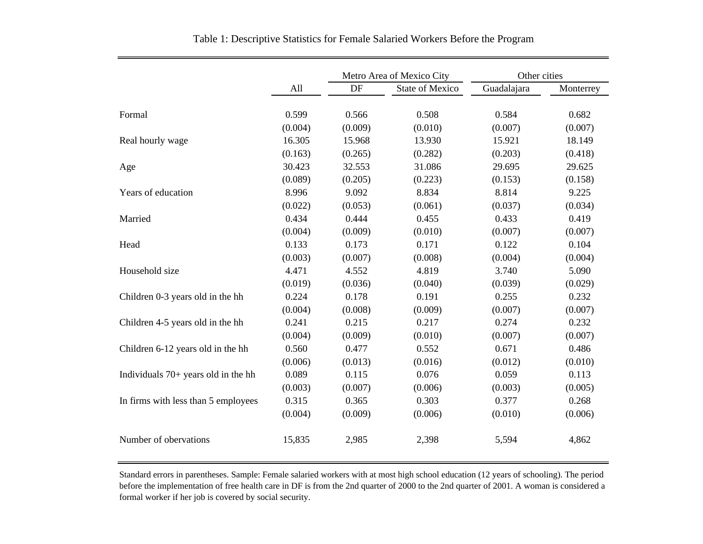|                                       |         | Metro Area of Mexico City |                        | Other cities |           |
|---------------------------------------|---------|---------------------------|------------------------|--------------|-----------|
|                                       | All     | DF                        | <b>State of Mexico</b> | Guadalajara  | Monterrey |
| Formal                                | 0.599   | 0.566                     | 0.508                  | 0.584        | 0.682     |
|                                       | (0.004) | (0.009)                   | (0.010)                | (0.007)      | (0.007)   |
| Real hourly wage                      | 16.305  | 15.968                    | 13.930                 | 15.921       | 18.149    |
|                                       | (0.163) | (0.265)                   | (0.282)                | (0.203)      | (0.418)   |
| Age                                   | 30.423  | 32.553                    | 31.086                 | 29.695       | 29.625    |
|                                       | (0.089) | (0.205)                   | (0.223)                | (0.153)      | (0.158)   |
| Years of education                    | 8.996   | 9.092                     | 8.834                  | 8.814        | 9.225     |
|                                       | (0.022) | (0.053)                   | (0.061)                | (0.037)      | (0.034)   |
| Married                               | 0.434   | 0.444                     | 0.455                  | 0.433        | 0.419     |
|                                       | (0.004) | (0.009)                   | (0.010)                | (0.007)      | (0.007)   |
| Head                                  | 0.133   | 0.173                     | 0.171                  | 0.122        | 0.104     |
|                                       | (0.003) | (0.007)                   | (0.008)                | (0.004)      | (0.004)   |
| Household size                        | 4.471   | 4.552                     | 4.819                  | 3.740        | 5.090     |
|                                       | (0.019) | (0.036)                   | (0.040)                | (0.039)      | (0.029)   |
| Children 0-3 years old in the hh      | 0.224   | 0.178                     | 0.191                  | 0.255        | 0.232     |
|                                       | (0.004) | (0.008)                   | (0.009)                | (0.007)      | (0.007)   |
| Children 4-5 years old in the hh      | 0.241   | 0.215                     | 0.217                  | 0.274        | 0.232     |
|                                       | (0.004) | (0.009)                   | (0.010)                | (0.007)      | (0.007)   |
| Children 6-12 years old in the hh     | 0.560   | 0.477                     | 0.552                  | 0.671        | 0.486     |
|                                       | (0.006) | (0.013)                   | (0.016)                | (0.012)      | (0.010)   |
| Individuals $70+$ years old in the hh | 0.089   | 0.115                     | 0.076                  | 0.059        | 0.113     |
|                                       | (0.003) | (0.007)                   | (0.006)                | (0.003)      | (0.005)   |
| In firms with less than 5 employees   | 0.315   | 0.365                     | 0.303                  | 0.377        | 0.268     |
|                                       | (0.004) | (0.009)                   | (0.006)                | (0.010)      | (0.006)   |
| Number of obervations                 | 15,835  | 2,985                     | 2,398                  | 5,594        | 4,862     |

Table 1: Descriptive Statistics for Female Salaried Workers Before the Program

Standard errors in parentheses. Sample: Female salaried workers with at most high school education (12 years of schooling). The period before the implementation of free health care in DF is from the 2nd quarter of 2000 to the 2nd quarter of 2001. A woman is considered a formal worker if her job is covered by social security.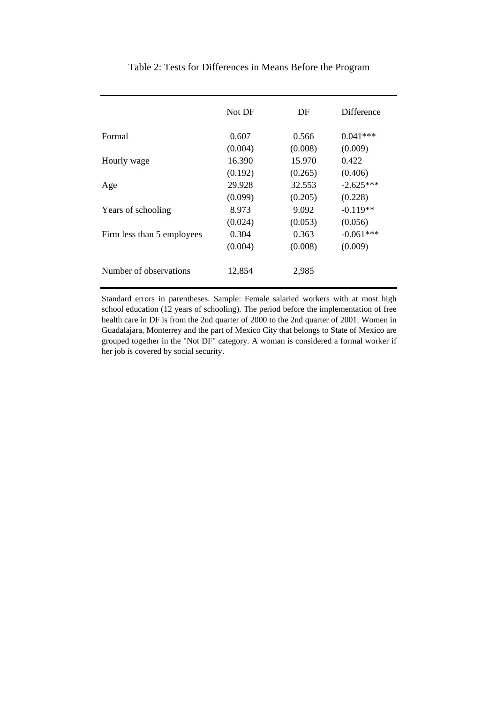|                            | Not DF  | DF      | Difference  |
|----------------------------|---------|---------|-------------|
| Formal                     | 0.607   | 0.566   | $0.041***$  |
|                            | (0.004) | (0.008) | (0.009)     |
| Hourly wage                | 16.390  | 15.970  | 0.422       |
|                            | (0.192) | (0.265) | (0.406)     |
| Age                        | 29.928  | 32.553  | $-2.625***$ |
|                            | (0.099) | (0.205) | (0.228)     |
| Years of schooling         | 8.973   | 9.092   | $-0.119**$  |
|                            | (0.024) | (0.053) | (0.056)     |
| Firm less than 5 employees | 0.304   | 0.363   | $-0.061***$ |
|                            | (0.004) | (0.008) | (0.009)     |
| Number of observations     | 12,854  | 2,985   |             |

Table 2: Tests for Differences in Means Before the Program

Standard errors in parentheses. Sample: Female salaried workers with at most high school education (12 years of schooling). The period before the implementation of free health care in DF is from the 2nd quarter of 2000 to the 2nd quarter of 2001. Women in Guadalajara, Monterrey and the part of Mexico City that belongs to State of Mexico are grouped together in the "Not DF" category. A woman is considered a formal worker if her job is covered by social security.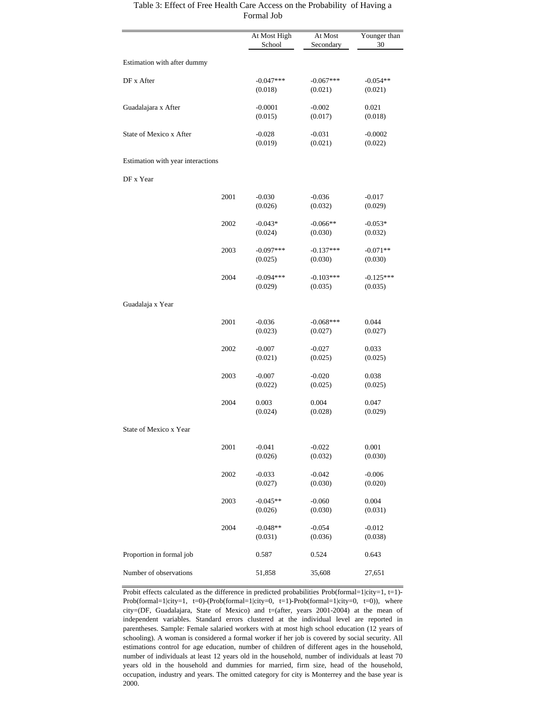#### Table 3: Effect of Free Health Care Access on the Probability of Having a Formal Job

|                                   |      | At Most High<br>School | At Most<br>Secondary   | Younger than<br>30     |
|-----------------------------------|------|------------------------|------------------------|------------------------|
| Estimation with after dummy       |      |                        |                        |                        |
| DF x After                        |      | $-0.047***$<br>(0.018) | $-0.067***$<br>(0.021) | $-0.054**$<br>(0.021)  |
| Guadalajara x After               |      | $-0.0001$<br>(0.015)   | $-0.002$<br>(0.017)    | 0.021<br>(0.018)       |
| State of Mexico x After           |      | $-0.028$<br>(0.019)    | $-0.031$<br>(0.021)    | $-0.0002$<br>(0.022)   |
| Estimation with year interactions |      |                        |                        |                        |
| DF x Year                         |      |                        |                        |                        |
|                                   | 2001 | $-0.030$<br>(0.026)    | $-0.036$<br>(0.032)    | $-0.017$<br>(0.029)    |
|                                   | 2002 | $-0.043*$<br>(0.024)   | $-0.066**$<br>(0.030)  | $-0.053*$<br>(0.032)   |
|                                   | 2003 | $-0.097***$<br>(0.025) | $-0.137***$<br>(0.030) | $-0.071**$<br>(0.030)  |
|                                   | 2004 | $-0.094***$<br>(0.029) | $-0.103***$<br>(0.035) | $-0.125***$<br>(0.035) |
| Guadalaja x Year                  |      |                        |                        |                        |
|                                   | 2001 | $-0.036$<br>(0.023)    | $-0.068***$<br>(0.027) | 0.044<br>(0.027)       |
|                                   | 2002 | $-0.007$<br>(0.021)    | $-0.027$<br>(0.025)    | 0.033<br>(0.025)       |
|                                   | 2003 | $-0.007$<br>(0.022)    | $-0.020$<br>(0.025)    | 0.038<br>(0.025)       |
|                                   | 2004 | 0.003<br>(0.024)       | 0.004<br>(0.028)       | 0.047<br>(0.029)       |
| State of Mexico x Year            |      |                        |                        |                        |
|                                   | 2001 | $-0.041$<br>(0.026)    | $-0.022$<br>(0.032)    | 0.001<br>(0.030)       |
|                                   | 2002 | $-0.033$<br>(0.027)    | $-0.042$<br>(0.030)    | $-0.006$<br>(0.020)    |
|                                   | 2003 | $-0.045**$<br>(0.026)  | $-0.060$<br>(0.030)    | 0.004<br>(0.031)       |
|                                   | 2004 | $-0.048**$<br>(0.031)  | $-0.054$<br>(0.036)    | $-0.012$<br>(0.038)    |
| Proportion in formal job          |      | 0.587                  | 0.524                  | 0.643                  |
| Number of observations            |      | 51,858                 | 35,608                 | 27,651                 |

Probit effects calculated as the difference in predicted probabilities  $Prob(formal=1|city=1, t=1)$ -Prob(formal=1|city=1, t=0)-(Prob(formal=1|city=0, t=1)-Prob(formal=1|city=0, t=0)), where city=(DF, Guadalajara, State of Mexico) and t=(after, years 2001-2004) at the mean of independent variables. Standard errors clustered at the individual level are reported in parentheses. Sample: Female salaried workers with at most high school education (12 years of schooling). A woman is considered a formal worker if her job is covered by social security. All estimations control for age education, number of children of different ages in the household, number of individuals at least 12 years old in the household, number of individuals at least 70 years old in the household and dummies for married, firm size, head of the household, occupation, industry and years. The omitted category for city is Monterrey and the base year is 2000.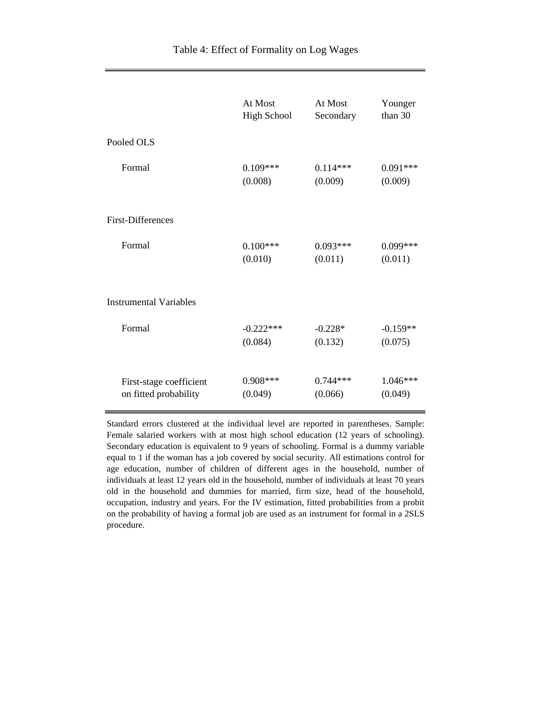|                               | At Most            | At Most    | Younger    |
|-------------------------------|--------------------|------------|------------|
|                               | <b>High School</b> | Secondary  | than 30    |
| Pooled OLS                    |                    |            |            |
| Formal                        | $0.109***$         | $0.114***$ | $0.091***$ |
|                               | (0.008)            | (0.009)    | (0.009)    |
| <b>First-Differences</b>      |                    |            |            |
| Formal                        | $0.100***$         | $0.093***$ | $0.099***$ |
|                               | (0.010)            | (0.011)    | (0.011)    |
| <b>Instrumental Variables</b> |                    |            |            |
| Formal                        | $-0.222***$        | $-0.228*$  | $-0.159**$ |
|                               | (0.084)            | (0.132)    | (0.075)    |
| First-stage coefficient       | $0.908***$         | $0.744***$ | $1.046***$ |
| on fitted probability         | (0.049)            | (0.066)    | (0.049)    |

Standard errors clustered at the individual level are reported in parentheses. Sample: Female salaried workers with at most high school education (12 years of schooling). Secondary education is equivalent to 9 years of schooling. Formal is a dummy variable equal to 1 if the woman has a job covered by social security. All estimations control for age education, number of children of different ages in the household, number of individuals at least 12 years old in the household, number of individuals at least 70 years old in the household and dummies for married, firm size, head of the household, occupation, industry and years. For the IV estimation, fitted probabilities from a probit on the probability of having a formal job are used as an instrument for formal in a 2SLS procedure.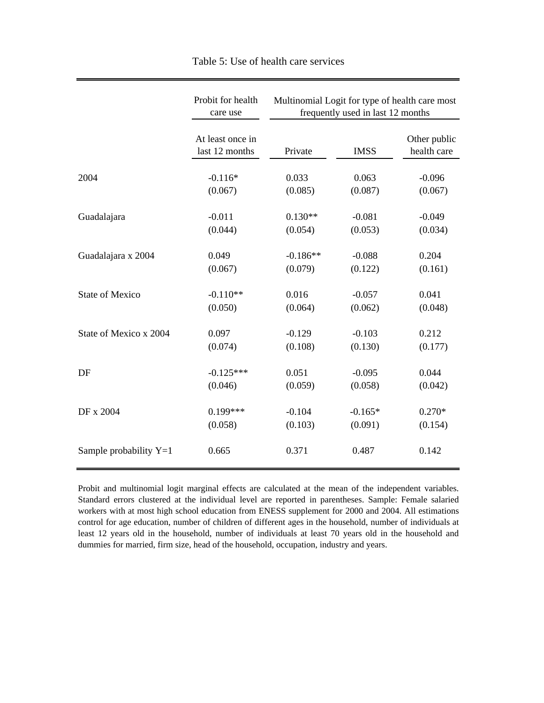|                          | Probit for health<br>care use      | Multinomial Logit for type of health care most<br>frequently used in last 12 months |             |                             |  |
|--------------------------|------------------------------------|-------------------------------------------------------------------------------------|-------------|-----------------------------|--|
|                          | At least once in<br>last 12 months | Private                                                                             | <b>IMSS</b> | Other public<br>health care |  |
| 2004                     | $-0.116*$                          | 0.033                                                                               | 0.063       | $-0.096$                    |  |
|                          | (0.067)                            | (0.085)                                                                             | (0.087)     | (0.067)                     |  |
| Guadalajara              | $-0.011$                           | $0.130**$                                                                           | $-0.081$    | $-0.049$                    |  |
|                          | (0.044)                            | (0.054)                                                                             | (0.053)     | (0.034)                     |  |
| Guadalajara x 2004       | 0.049                              | $-0.186**$                                                                          | $-0.088$    | 0.204                       |  |
| <b>State of Mexico</b>   | (0.067)                            | (0.079)                                                                             | (0.122)     | (0.161)                     |  |
|                          | $-0.110**$                         | 0.016                                                                               | $-0.057$    | 0.041                       |  |
| State of Mexico x 2004   | (0.050)                            | (0.064)                                                                             | (0.062)     | (0.048)                     |  |
|                          | 0.097                              | $-0.129$                                                                            | $-0.103$    | 0.212                       |  |
| DF                       | (0.074)                            | (0.108)                                                                             | (0.130)     | (0.177)                     |  |
|                          | $-0.125***$                        | 0.051                                                                               | $-0.095$    | 0.044                       |  |
|                          | (0.046)                            | (0.059)                                                                             | (0.058)     | (0.042)                     |  |
| DF x 2004                | $0.199***$                         | $-0.104$                                                                            | $-0.165*$   | $0.270*$                    |  |
|                          | (0.058)                            | (0.103)                                                                             | (0.091)     | (0.154)                     |  |
| Sample probability $Y=1$ | 0.665                              | 0.371                                                                               | 0.487       | 0.142                       |  |

Table 5: Use of health care services

Probit and multinomial logit marginal effects are calculated at the mean of the independent variables. Standard errors clustered at the individual level are reported in parentheses. Sample: Female salaried workers with at most high school education from ENESS supplement for 2000 and 2004. All estimations control for age education, number of children of different ages in the household, number of individuals at least 12 years old in the household, number of individuals at least 70 years old in the household and dummies for married, firm size, head of the household, occupation, industry and years.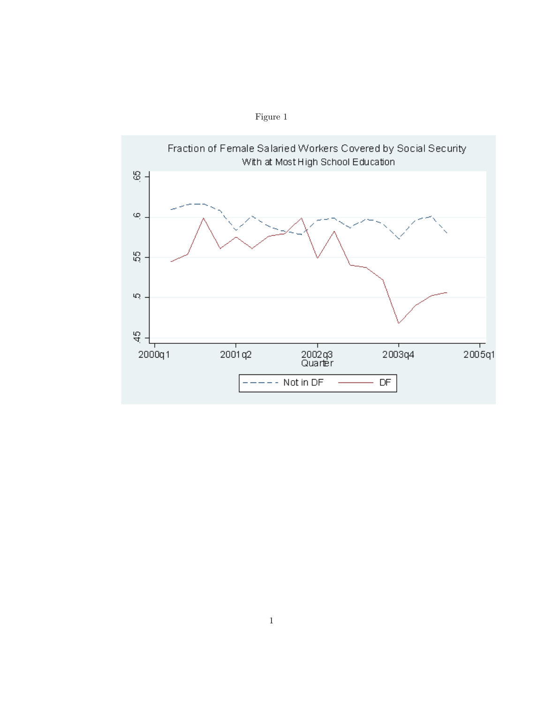

Figure 1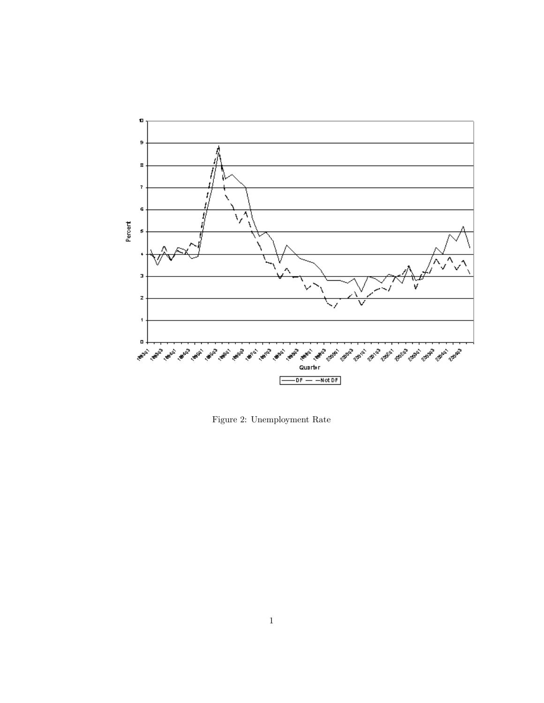

Figure 2: Unemployment Rate